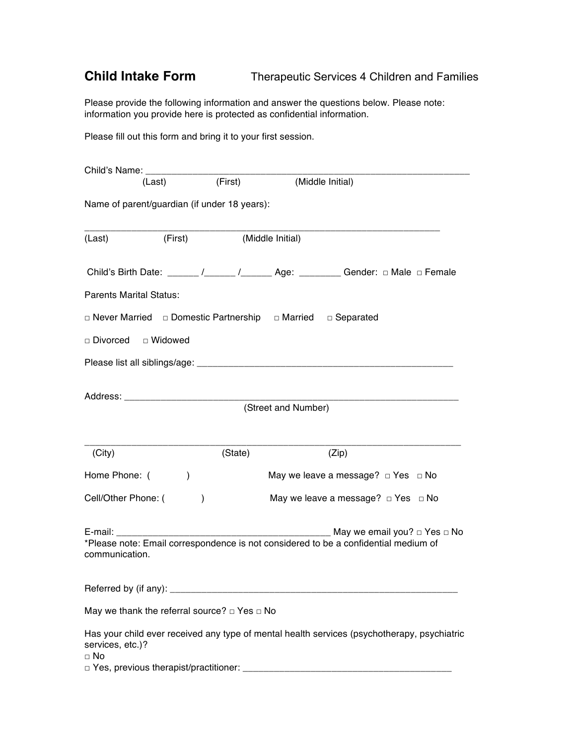## **Child Intake Form** Therapeutic Services 4 Children and Families

Please provide the following information and answer the questions below. Please note: information you provide here is protected as confidential information.

Please fill out this form and bring it to your first session.

|                                                                                                                                                                                                                                | (Last)        | (First)                                                                          |                     | (Middle Initial)                                                                                                              |
|--------------------------------------------------------------------------------------------------------------------------------------------------------------------------------------------------------------------------------|---------------|----------------------------------------------------------------------------------|---------------------|-------------------------------------------------------------------------------------------------------------------------------|
|                                                                                                                                                                                                                                |               | Name of parent/guardian (if under 18 years):                                     |                     |                                                                                                                               |
| (Last)                                                                                                                                                                                                                         | (First)       | (Middle Initial)                                                                 |                     |                                                                                                                               |
|                                                                                                                                                                                                                                |               |                                                                                  |                     | Child's Birth Date: ______ /______ /______ Age: _______ Gender: $\Box$ Male $\Box$ Female                                     |
| <b>Parents Marital Status:</b>                                                                                                                                                                                                 |               |                                                                                  |                     |                                                                                                                               |
|                                                                                                                                                                                                                                |               | $\Box$ Never Married $\Box$ Domestic Partnership $\Box$ Married $\Box$ Separated |                     |                                                                                                                               |
| □ Divorced □ Widowed                                                                                                                                                                                                           |               |                                                                                  |                     |                                                                                                                               |
|                                                                                                                                                                                                                                |               |                                                                                  |                     |                                                                                                                               |
| Address: Analysis and the contract of the contract of the contract of the contract of the contract of the contract of the contract of the contract of the contract of the contract of the contract of the contract of the cont |               |                                                                                  |                     |                                                                                                                               |
|                                                                                                                                                                                                                                |               |                                                                                  | (Street and Number) |                                                                                                                               |
|                                                                                                                                                                                                                                |               |                                                                                  |                     |                                                                                                                               |
| (City)                                                                                                                                                                                                                         |               | (State)                                                                          |                     | (Zip)                                                                                                                         |
| Home Phone: (                                                                                                                                                                                                                  | $\mathcal{E}$ |                                                                                  |                     | May we leave a message? $\Box$ Yes $\Box$ No                                                                                  |
| Cell/Other Phone: (                                                                                                                                                                                                            |               | $\mathcal{E}$                                                                    |                     | May we leave a message? $\Box$ Yes $\Box$ No                                                                                  |
| E-mail: E-mail: E-mail: E-mail: E-mail: E-mail: E-mail: E-mail: E-mail: E-mail: E-mail: E-mail: E-mail: E-mail: E-mail: E-mail: E-mail: E-mail: E-mail: E-mail: E-mail: E-mail: E-mail: E-mail: E-mail: E-mail: E-mail: E-mail |               |                                                                                  |                     | May we email you? $\Box$ Yes $\Box$ No<br>*Please note: Email correspondence is not considered to be a confidential medium of |
| communication.                                                                                                                                                                                                                 |               |                                                                                  |                     |                                                                                                                               |
| Referred by (if any): ______                                                                                                                                                                                                   |               |                                                                                  |                     |                                                                                                                               |
|                                                                                                                                                                                                                                |               | May we thank the referral source? $\Box$ Yes $\Box$ No                           |                     |                                                                                                                               |
| services, etc.)?<br>$\Box$ No                                                                                                                                                                                                  |               | □ Yes, previous therapist/practitioner:                                          |                     | Has your child ever received any type of mental health services (psychotherapy, psychiatric                                   |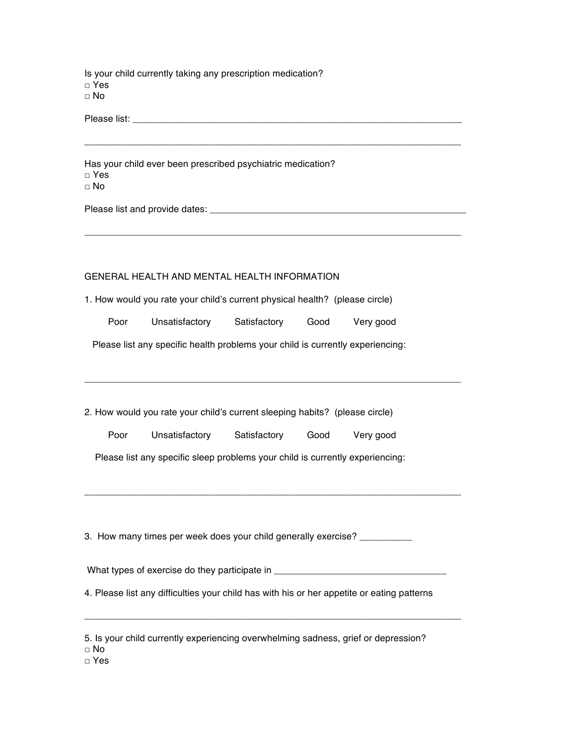Is your child currently taking any prescription medication? □ Yes □ No

Please list: \_\_\_\_\_\_\_\_\_\_\_\_\_\_\_\_\_\_\_\_\_\_\_\_\_\_\_\_\_\_\_\_\_\_\_\_\_\_\_\_\_\_\_\_\_\_\_\_\_\_\_\_\_\_\_\_\_\_\_\_\_\_\_

Has your child ever been prescribed psychiatric medication? □ Yes □ No

Please list and provide dates: \_\_\_\_\_\_\_\_\_\_\_\_\_\_\_\_\_\_\_\_\_\_\_\_\_\_\_\_\_\_\_\_\_\_\_\_\_\_\_\_\_\_\_\_\_\_\_\_\_

## GENERAL HEALTH AND MENTAL HEALTH INFORMATION

1. How would you rate your child's current physical health? (please circle)

|  | Poor | Unsatisfactory | Satisfactory | Good | Very good |
|--|------|----------------|--------------|------|-----------|
|--|------|----------------|--------------|------|-----------|

\_\_\_\_\_\_\_\_\_\_\_\_\_\_\_\_\_\_\_\_\_\_\_\_\_\_\_\_\_\_\_\_\_\_\_\_\_\_\_\_\_\_\_\_\_\_\_\_\_\_\_\_\_\_\_\_\_\_\_\_\_\_\_\_\_\_\_\_\_\_\_\_

\_\_\_\_\_\_\_\_\_\_\_\_\_\_\_\_\_\_\_\_\_\_\_\_\_\_\_\_\_\_\_\_\_\_\_\_\_\_\_\_\_\_\_\_\_\_\_\_\_\_\_\_\_\_\_\_\_\_\_\_\_\_\_\_\_\_\_\_\_\_\_\_

\_\_\_\_\_\_\_\_\_\_\_\_\_\_\_\_\_\_\_\_\_\_\_\_\_\_\_\_\_\_\_\_\_\_\_\_\_\_\_\_\_\_\_\_\_\_\_\_\_\_\_\_\_\_\_\_\_\_\_\_\_\_\_\_\_\_\_\_\_\_\_\_

\_\_\_\_\_\_\_\_\_\_\_\_\_\_\_\_\_\_\_\_\_\_\_\_\_\_\_\_\_\_\_\_\_\_\_\_\_\_\_\_\_\_\_\_\_\_\_\_\_\_\_\_\_\_\_\_\_\_\_\_\_\_\_\_\_\_\_\_\_\_\_\_

Please list any specific health problems your child is currently experiencing:

2. How would you rate your child's current sleeping habits? (please circle)

| Poor | Unsatisfactory | Satisfactory | Good | Very good |
|------|----------------|--------------|------|-----------|
|------|----------------|--------------|------|-----------|

Please list any specific sleep problems your child is currently experiencing:

3. How many times per week does your child generally exercise? \_\_\_\_\_\_\_\_\_\_

What types of exercise do they participate in

\_\_\_\_\_\_\_\_\_\_\_\_\_\_\_\_\_\_\_\_\_\_\_\_\_\_\_\_\_\_\_\_\_\_\_\_\_\_\_\_\_\_\_\_\_\_\_\_\_\_\_\_\_\_\_\_\_\_\_\_\_\_\_\_\_\_\_\_\_\_\_\_

4. Please list any difficulties your child has with his or her appetite or eating patterns

|  |  | 5. Is your child currently experiencing overwhelming sadness, grief or depression? |  |  |
|--|--|------------------------------------------------------------------------------------|--|--|
|  |  |                                                                                    |  |  |

□ No

□ Yes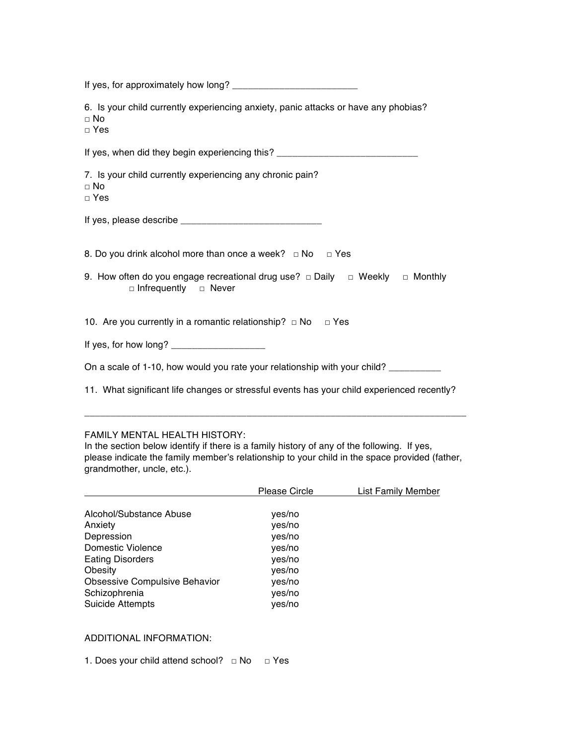| 6. Is your child currently experiencing anxiety, panic attacks or have any phobias?<br>$\Box$ No<br>$\Box$ Yes        |  |  |  |  |
|-----------------------------------------------------------------------------------------------------------------------|--|--|--|--|
| If yes, when did they begin experiencing this? _________________________________                                      |  |  |  |  |
| 7. Is your child currently experiencing any chronic pain?<br>$\Box$ No<br>$\Box$ Yes                                  |  |  |  |  |
|                                                                                                                       |  |  |  |  |
| 8. Do you drink alcohol more than once a week? $\Box$ No $\Box$ Yes                                                   |  |  |  |  |
| 9. How often do you engage recreational drug use? $\Box$ Daily $\Box$ Weekly $\Box$ Monthly<br>□ Infrequently □ Never |  |  |  |  |
| 10. Are you currently in a romantic relationship? $\Box$ No $\Box$ Yes                                                |  |  |  |  |
|                                                                                                                       |  |  |  |  |
| On a scale of 1-10, how would you rate your relationship with your child? __________                                  |  |  |  |  |
| 11. What significant life changes or stressful events has your child experienced recently?                            |  |  |  |  |

## FAMILY MENTAL HEALTH HISTORY:

In the section below identify if there is a family history of any of the following. If yes, please indicate the family member's relationship to your child in the space provided (father, grandmother, uncle, etc.).

\_\_\_\_\_\_\_\_\_\_\_\_\_\_\_\_\_\_\_\_\_\_\_\_\_\_\_\_\_\_\_\_\_\_\_\_\_\_\_\_\_\_\_\_\_\_\_\_\_\_\_\_\_\_\_\_\_\_\_\_\_\_\_\_\_\_\_\_\_\_\_\_\_

|                                      | <b>Please Circle</b> | <b>List Family Member</b> |
|--------------------------------------|----------------------|---------------------------|
|                                      |                      |                           |
| Alcohol/Substance Abuse              | yes/no               |                           |
| Anxiety                              | yes/no               |                           |
| Depression                           | yes/no               |                           |
| Domestic Violence                    | yes/no               |                           |
| <b>Eating Disorders</b>              | yes/no               |                           |
| Obesity                              | yes/no               |                           |
| <b>Obsessive Compulsive Behavior</b> | yes/no               |                           |
| Schizophrenia                        | yes/no               |                           |
| <b>Suicide Attempts</b>              | yes/no               |                           |

## ADDITIONAL INFORMATION:

1. Does your child attend school? □ No □ Yes